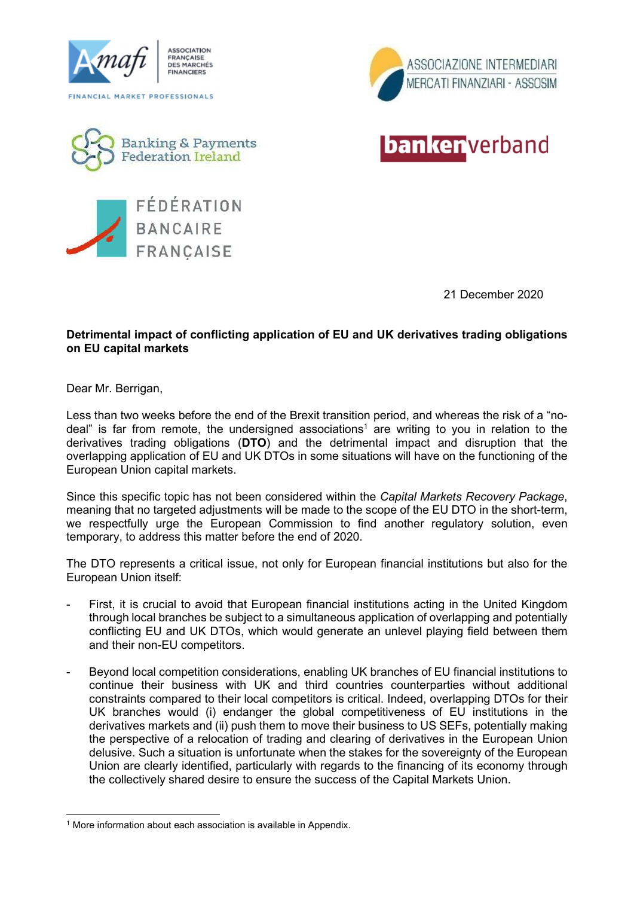



**banker** verband







21 December 2020

## Detrimental impact of conflicting application of EU and UK derivatives trading obligations on EU capital markets

Dear Mr. Berrigan,

Less than two weeks before the end of the Brexit transition period, and whereas the risk of a "nodeal" is far from remote, the undersigned associations<sup>1</sup> are writing to you in relation to the derivatives trading obligations (DTO) and the detrimental impact and disruption that the overlapping application of EU and UK DTOs in some situations will have on the functioning of the European Union capital markets.

Since this specific topic has not been considered within the Capital Markets Recovery Package, meaning that no targeted adjustments will be made to the scope of the EU DTO in the short-term, we respectfully urge the European Commission to find another regulatory solution, even temporary, to address this matter before the end of 2020.

The DTO represents a critical issue, not only for European financial institutions but also for the European Union itself:

- First, it is crucial to avoid that European financial institutions acting in the United Kingdom through local branches be subject to a simultaneous application of overlapping and potentially conflicting EU and UK DTOs, which would generate an unlevel playing field between them and their non-EU competitors.
- Beyond local competition considerations, enabling UK branches of EU financial institutions to continue their business with UK and third countries counterparties without additional constraints compared to their local competitors is critical. Indeed, overlapping DTOs for their UK branches would (i) endanger the global competitiveness of EU institutions in the derivatives markets and (ii) push them to move their business to US SEFs, potentially making the perspective of a relocation of trading and clearing of derivatives in the European Union delusive. Such a situation is unfortunate when the stakes for the sovereignty of the European Union are clearly identified, particularly with regards to the financing of its economy through the collectively shared desire to ensure the success of the Capital Markets Union.

<sup>&</sup>lt;sup>1</sup> More information about each association is available in Appendix.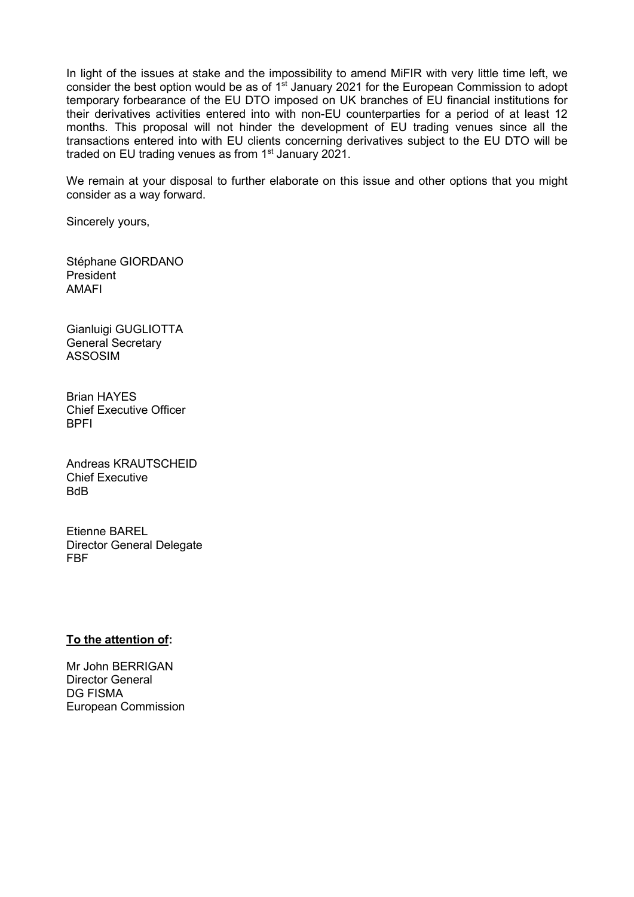In light of the issues at stake and the impossibility to amend MiFIR with very little time left, we consider the best option would be as of  $1<sup>st</sup>$  January 2021 for the European Commission to adopt temporary forbearance of the EU DTO imposed on UK branches of EU financial institutions for their derivatives activities entered into with non-EU counterparties for a period of at least 12 months. This proposal will not hinder the development of EU trading venues since all the transactions entered into with EU clients concerning derivatives subject to the EU DTO will be traded on EU trading venues as from  $1<sup>st</sup>$  January 2021.

We remain at your disposal to further elaborate on this issue and other options that you might consider as a way forward.

Sincerely yours,

Stéphane GIORDANO President AMAFI

Gianluigi GUGLIOTTA General Secretary ASSOSIM

Brian HAYES Chief Executive Officer BPFI

Andreas KRAUTSCHEID Chief Executive BdB

Etienne BAREL Director General Delegate FBF

## To the attention of:

Mr John BERRIGAN Director General DG FISMA European Commission